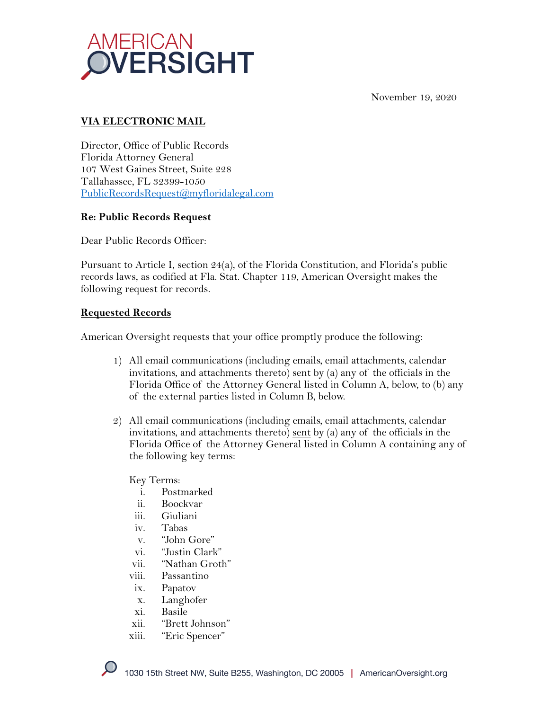

November 19, 2020

## **VIA ELECTRONIC MAIL**

Director, Office of Public Records Florida Attorney General 107 West Gaines Street, Suite 228 Tallahassee, FL 32399-1050 PublicRecordsRequest@myfloridalegal.com

## **Re: Public Records Request**

Dear Public Records Officer:

Pursuant to Article I, section 24(a), of the Florida Constitution, and Florida's public records laws, as codified at Fla. Stat. Chapter 119, American Oversight makes the following request for records.

## **Requested Records**

American Oversight requests that your office promptly produce the following:

- 1) All email communications (including emails, email attachments, calendar invitations, and attachments thereto) sent by (a) any of the officials in the Florida Office of the Attorney General listed in Column A, below, to (b) any of the external parties listed in Column B, below.
- 2) All email communications (including emails, email attachments, calendar invitations, and attachments thereto) sent by (a) any of the officials in the Florida Office of the Attorney General listed in Column A containing any of the following key terms:

Key Terms:

- i. Postmarked
- ii. Boockvar
- iii. Giuliani
- iv. Tabas
- v. "John Gore"
- vi. "Justin Clark"
- vii. "Nathan Groth"
- viii. Passantino
- ix. Papatov
- x. Langhofer
- xi. Basile
- xii. "Brett Johnson"
- xiii. "Eric Spencer"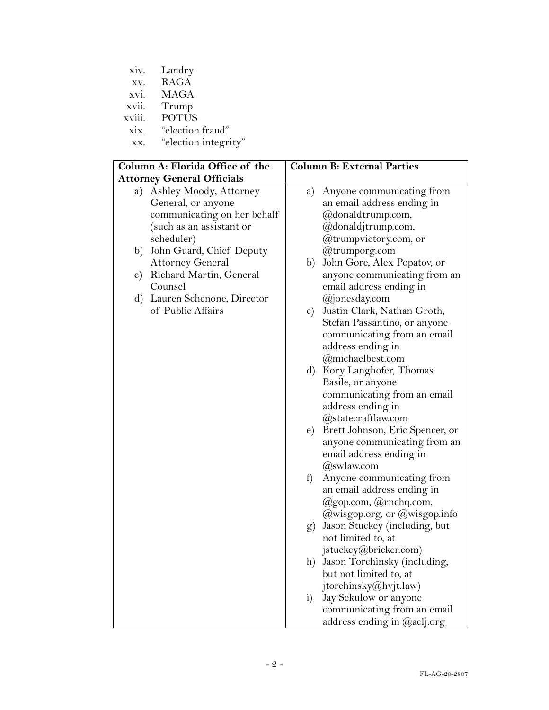| XV.                               | <b>RAGA</b>                     |               |                                    |  |
|-----------------------------------|---------------------------------|---------------|------------------------------------|--|
| XVI.                              | <b>MAGA</b>                     |               |                                    |  |
|                                   | xvii. Trump                     |               |                                    |  |
| xviii.                            | <b>POTUS</b>                    |               |                                    |  |
| xix.                              | "election fraud"                |               |                                    |  |
| XX.                               | "election integrity"            |               |                                    |  |
|                                   |                                 |               |                                    |  |
|                                   | Column A: Florida Office of the |               | <b>Column B: External Parties</b>  |  |
| <b>Attorney General Officials</b> |                                 |               |                                    |  |
|                                   | a) Ashley Moody, Attorney       | a)            | Anyone communicating from          |  |
|                                   | General, or anyone              |               | an email address ending in         |  |
|                                   | communicating on her behalf     |               | @donaldtrump.com,                  |  |
|                                   | (such as an assistant or        |               | @donaldjtrump.com,                 |  |
|                                   | scheduler)                      |               | @trumpvictory.com, or              |  |
| b)                                | John Guard, Chief Deputy        |               | @trumporg.com                      |  |
|                                   | <b>Attorney General</b>         | b)            | John Gore, Alex Popatov, or        |  |
|                                   | c) Richard Martin, General      |               | anyone communicating from an       |  |
|                                   | Counsel                         |               | email address ending in            |  |
|                                   | d) Lauren Schenone, Director    |               | @jonesday.com                      |  |
|                                   | of Public Affairs               | $\mathbf{c})$ | Justin Clark, Nathan Groth,        |  |
|                                   |                                 |               | Stefan Passantino, or anyone       |  |
|                                   |                                 |               | communicating from an email        |  |
|                                   |                                 |               | address ending in                  |  |
|                                   |                                 |               | @michaelbest.com                   |  |
|                                   |                                 |               |                                    |  |
|                                   |                                 |               | d) Kory Langhofer, Thomas          |  |
|                                   |                                 |               | Basile, or anyone                  |  |
|                                   |                                 |               | communicating from an email        |  |
|                                   |                                 |               | address ending in                  |  |
|                                   |                                 |               | @statecraftlaw.com                 |  |
|                                   |                                 | $\epsilon$ )  | Brett Johnson, Eric Spencer, or    |  |
|                                   |                                 |               | anyone communicating from an       |  |
|                                   |                                 |               | email address ending in            |  |
|                                   |                                 |               | $(a)$ swlaw.com                    |  |
|                                   |                                 |               | f) Anyone communicating from       |  |
|                                   |                                 |               | an email address ending in         |  |
|                                   |                                 |               | @gop.com, @rnchq.com,              |  |
|                                   |                                 |               | $@w$ isgop.org, or $@w$ isgop.info |  |
|                                   |                                 | (g)           | Jason Stuckey (including, but      |  |
|                                   |                                 |               | not limited to, at                 |  |
|                                   |                                 |               | jstuckey@bricker.com)              |  |
|                                   |                                 | h)            | Jason Torchinsky (including,       |  |
|                                   |                                 |               | but not limited to, at             |  |
|                                   |                                 |               | jtorchinsky@hvjt.law)              |  |
|                                   |                                 | i)            | Jay Sekulow or anyone              |  |
|                                   |                                 |               | communicating from an email        |  |
|                                   |                                 |               | address ending in @aclj.org        |  |

xiv. Landry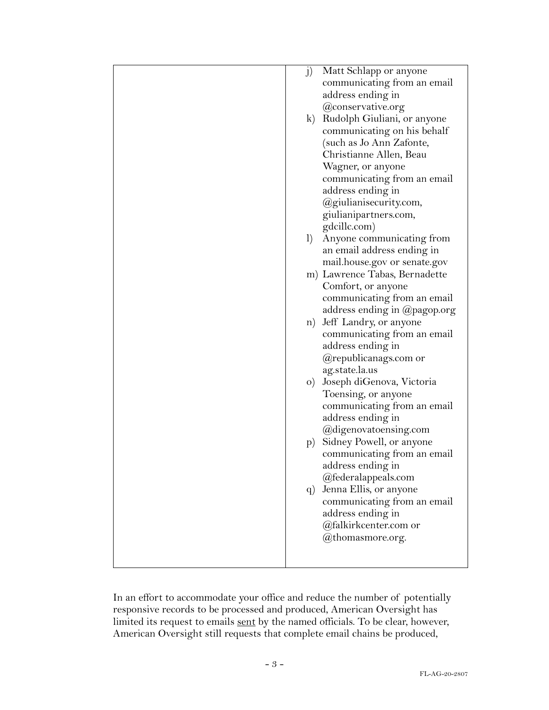| j)<br>Matt Schlapp or anyone<br>communicating from an email<br>address ending in<br>@conservative.org<br>Rudolph Giuliani, or anyone<br>$\bf k$ )<br>communicating on his behalf                |
|-------------------------------------------------------------------------------------------------------------------------------------------------------------------------------------------------|
| (such as Jo Ann Zafonte,<br>Christianne Allen, Beau<br>Wagner, or anyone<br>communicating from an email<br>address ending in<br>@giulianisecurity.com,<br>giulianipartners.com,<br>gdcillc.com) |
| Anyone communicating from<br>1)<br>an email address ending in<br>mail.house.gov or senate.gov                                                                                                   |
| m) Lawrence Tabas, Bernadette<br>Comfort, or anyone<br>communicating from an email<br>address ending in @pagop.org                                                                              |
| Jeff Landry, or anyone<br>n)<br>communicating from an email<br>address ending in<br>@republicanags.com or<br>ag.state.la.us                                                                     |
| o) Joseph diGenova, Victoria<br>Toensing, or anyone<br>communicating from an email<br>address ending in<br>@digenovatoensing.com                                                                |
| Sidney Powell, or anyone<br>$ {\rm p}\rangle$<br>communicating from an email<br>address ending in<br>@federalappeals.com                                                                        |
| Jenna Ellis, or anyone<br>q)<br>communicating from an email<br>address ending in<br>@falkirkcenter.com or<br>@thomasmore.org.                                                                   |

In an effort to accommodate your office and reduce the number of potentially responsive records to be processed and produced, American Oversight has limited its request to emails sent by the named officials. To be clear, however, American Oversight still requests that complete email chains be produced,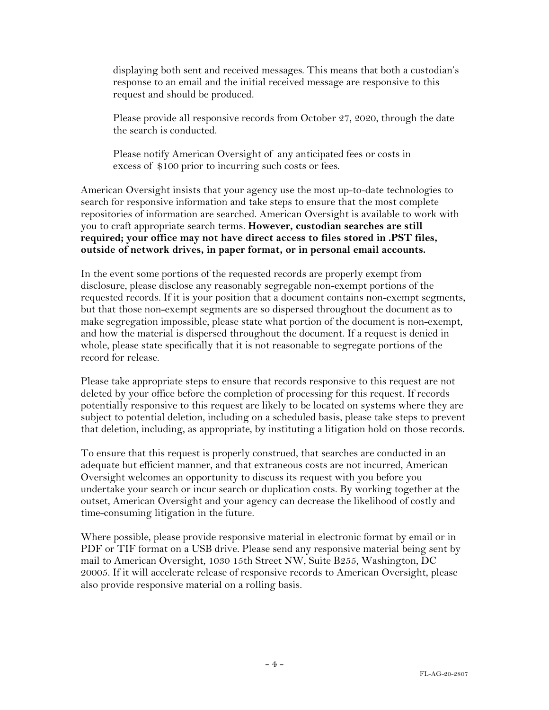displaying both sent and received messages. This means that both a custodian's response to an email and the initial received message are responsive to this request and should be produced.

Please provide all responsive records from October 27, 2020, through the date the search is conducted.

Please notify American Oversight of any anticipated fees or costs in excess of \$100 prior to incurring such costs or fees.

American Oversight insists that your agency use the most up-to-date technologies to search for responsive information and take steps to ensure that the most complete repositories of information are searched. American Oversight is available to work with you to craft appropriate search terms. **However, custodian searches are still required; your office may not have direct access to files stored in .PST files, outside of network drives, in paper format, or in personal email accounts.**

In the event some portions of the requested records are properly exempt from disclosure, please disclose any reasonably segregable non-exempt portions of the requested records. If it is your position that a document contains non-exempt segments, but that those non-exempt segments are so dispersed throughout the document as to make segregation impossible, please state what portion of the document is non-exempt, and how the material is dispersed throughout the document. If a request is denied in whole, please state specifically that it is not reasonable to segregate portions of the record for release.

Please take appropriate steps to ensure that records responsive to this request are not deleted by your office before the completion of processing for this request. If records potentially responsive to this request are likely to be located on systems where they are subject to potential deletion, including on a scheduled basis, please take steps to prevent that deletion, including, as appropriate, by instituting a litigation hold on those records.

To ensure that this request is properly construed, that searches are conducted in an adequate but efficient manner, and that extraneous costs are not incurred, American Oversight welcomes an opportunity to discuss its request with you before you undertake your search or incur search or duplication costs. By working together at the outset, American Oversight and your agency can decrease the likelihood of costly and time-consuming litigation in the future.

Where possible, please provide responsive material in electronic format by email or in PDF or TIF format on a USB drive. Please send any responsive material being sent by mail to American Oversight, 1030 15th Street NW, Suite B255, Washington, DC 20005. If it will accelerate release of responsive records to American Oversight, please also provide responsive material on a rolling basis.